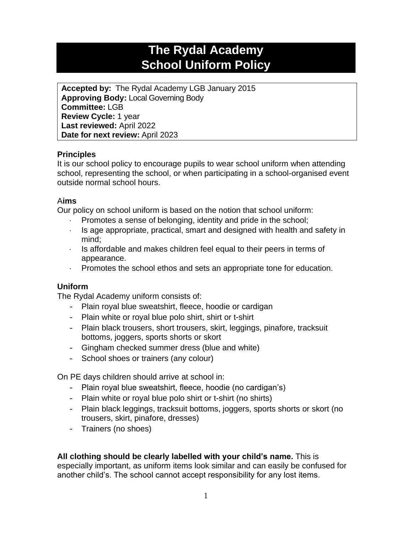# **The Rydal Academy School Uniform Policy**

**Accepted by:** The Rydal Academy LGB January 2015 **Approving Body:** Local Governing Body **Committee:** LGB **Review Cycle:** 1 year **Last reviewed:** April 2022 **Date for next review:** April 2023

# **Principles**

It is our school policy to encourage pupils to wear school uniform when attending school, representing the school, or when participating in a school-organised event outside normal school hours.

#### A**ims**

Our policy on school uniform is based on the notion that school uniform:

- Promotes a sense of belonging, identity and pride in the school;
- $\cdot$  Is age appropriate, practical, smart and designed with health and safety in mind;
- $\cdot$  Is affordable and makes children feel equal to their peers in terms of appearance.
- Promotes the school ethos and sets an appropriate tone for education.

# **Uniform**

The Rydal Academy uniform consists of:

- Plain royal blue sweatshirt, fleece, hoodie or cardigan
- Plain white or royal blue polo shirt, shirt or t-shirt
- Plain black trousers, short trousers, skirt, leggings, pinafore, tracksuit bottoms, joggers, sports shorts or skort
- Gingham checked summer dress (blue and white)
- School shoes or trainers (any colour)

On PE days children should arrive at school in:

- Plain royal blue sweatshirt, fleece, hoodie (no cardigan's)
- Plain white or royal blue polo shirt or t-shirt (no shirts)
- Plain black leggings, tracksuit bottoms, joggers, sports shorts or skort (no trousers, skirt, pinafore, dresses)
- Trainers (no shoes)

**All clothing should be clearly labelled with your child's name.** This is especially important, as uniform items look similar and can easily be confused for another child's. The school cannot accept responsibility for any lost items.